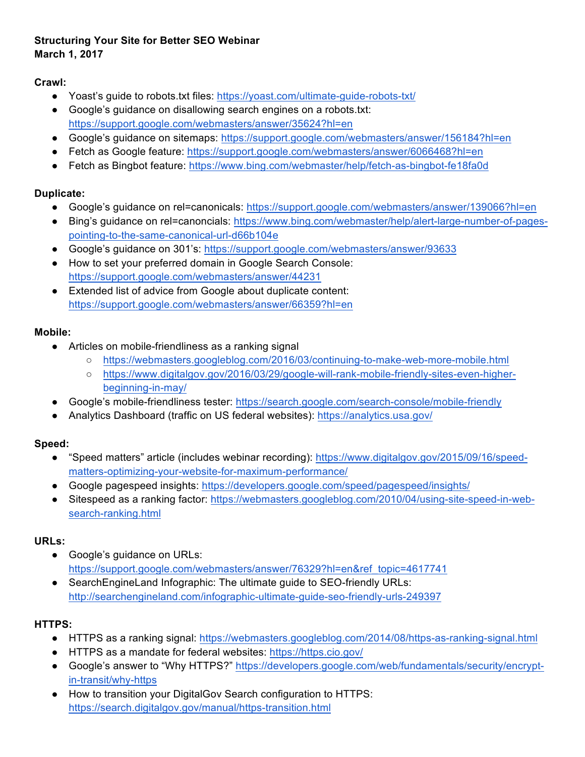### **Structuring Your Site for Better SEO Webinar March 1, 2017**

**Crawl:**

- Yoast's guide to robots.txt files: https://yoast.com/ultimate-guide-robots-txt/
- Google's guidance on disallowing search engines on a robots.txt: https://support.google.com/webmasters/answer/35624?hl=en
- Google's guidance on sitemaps: https://support.google.com/webmasters/answer/156184?hl=en
- Fetch as Google feature: https://support.google.com/webmasters/answer/6066468?hl=en
- Fetch as Bingbot feature: https://www.bing.com/webmaster/help/fetch-as-bingbot-fe18fa0d

# **Duplicate:**

- Google's guidance on rel=canonicals: https://support.google.com/webmasters/answer/139066?hl=en
- Bing's guidance on rel=canoncials: https://www.bing.com/webmaster/help/alert-large-number-of-pagespointing-to-the-same-canonical-url-d66b104e
- Google's quidance on 301's: https://support.google.com/webmasters/answer/93633
- How to set your preferred domain in Google Search Console: https://support.google.com/webmasters/answer/44231
- Extended list of advice from Google about duplicate content: https://support.google.com/webmasters/answer/66359?hl=en

#### **Mobile:**

- Articles on mobile-friendliness as a ranking signal
	- https://webmasters.googleblog.com/2016/03/continuing-to-make-web-more-mobile.html
	- https://www.digitalgov.gov/2016/03/29/google-will-rank-mobile-friendly-sites-even-higherbeginning-in-may/
- Google's mobile-friendliness tester: https://search.google.com/search-console/mobile-friendly
- Analytics Dashboard (traffic on US federal websites): https://analytics.usa.gov/

# **Speed:**

- "Speed matters" article (includes webinar recording): https://www.digitalgov.gov/2015/09/16/speedmatters-optimizing-your-website-for-maximum-performance/
- Google pagespeed insights: https://developers.google.com/speed/pagespeed/insights/
- Sitespeed as a ranking factor: https://webmasters.googleblog.com/2010/04/using-site-speed-in-websearch-ranking.html

# **URLs:**

- Google's guidance on URLs: https://support.google.com/webmasters/answer/76329?hl=en&ref\_topic=4617741
- SearchEngineLand Infographic: The ultimate guide to SEO-friendly URLs: http://searchengineland.com/infographic-ultimate-guide-seo-friendly-urls-249397

# **HTTPS:**

- HTTPS as a ranking signal: https://webmasters.googleblog.com/2014/08/https-as-ranking-signal.html
- HTTPS as a mandate for federal websites: https://https.cio.gov/
- Google's answer to "Why HTTPS?" https://developers.google.com/web/fundamentals/security/encryptin-transit/why-https
- How to transition your DigitalGov Search configuration to HTTPS: https://search.digitalgov.gov/manual/https-transition.html